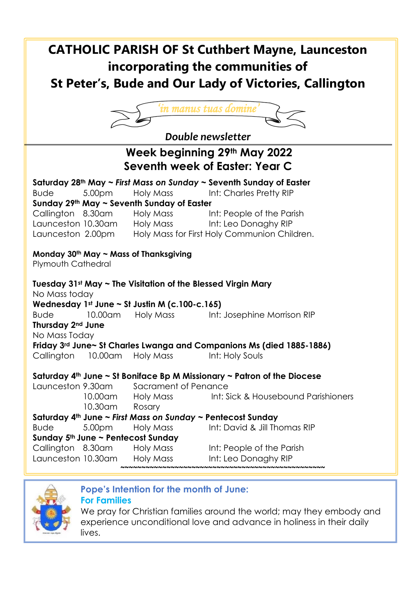# **CATHOLIC PARISH OF St Cuthbert Mayne, Launceston incorporating the communities of St Peter's, Bude and Our Lady of Victories, Callington**



*Double newsletter*

| LUMNIC IICWSICLICI                                                                                                                          |                  |                             |                                                                                 |  |  |  |
|---------------------------------------------------------------------------------------------------------------------------------------------|------------------|-----------------------------|---------------------------------------------------------------------------------|--|--|--|
| Week beginning 29th May 2022<br>Seventh week of Easter: Year C                                                                              |                  |                             |                                                                                 |  |  |  |
|                                                                                                                                             |                  |                             | Saturday 28 <sup>th</sup> May ~ First Mass on Sunday ~ Seventh Sunday of Easter |  |  |  |
| <b>Bude</b>                                                                                                                                 | 5.00pm           | Holy Mass                   | Int: Charles Pretty RIP                                                         |  |  |  |
| Sunday 29th May ~ Seventh Sunday of Easter                                                                                                  |                  |                             |                                                                                 |  |  |  |
|                                                                                                                                             |                  | Callington 8.30am Holy Mass | Int: People of the Parish                                                       |  |  |  |
|                                                                                                                                             |                  |                             | Launceston 10.30am Holy Mass Int: Leo Donaghy RIP                               |  |  |  |
|                                                                                                                                             |                  |                             | Holy Mass for First Holy Communion Children.                                    |  |  |  |
| Launceston 2.00pm                                                                                                                           |                  |                             |                                                                                 |  |  |  |
| Monday $30th$ May $\sim$ Mass of Thanksgiving<br>Plymouth Cathedral                                                                         |                  |                             |                                                                                 |  |  |  |
| Tuesday $31st$ May $\sim$ The Visitation of the Blessed Virgin Mary<br>No Mass today<br>Wednesday 1st June $\sim$ St Justin M (c.100-c.165) |                  |                             |                                                                                 |  |  |  |
| <b>Bude</b>                                                                                                                                 | 10.00am          | Holy Mass                   | Int: Josephine Morrison RIP                                                     |  |  |  |
| Thursday 2 <sup>nd</sup> June                                                                                                               |                  |                             |                                                                                 |  |  |  |
| No Mass Today                                                                                                                               |                  |                             |                                                                                 |  |  |  |
| Friday 3rd June~ St Charles Lwanga and Companions Ms (died 1885-1886)                                                                       |                  |                             |                                                                                 |  |  |  |
| Callington 10.00am Holy Mass                                                                                                                |                  |                             | Int: Holy Souls                                                                 |  |  |  |
|                                                                                                                                             |                  |                             |                                                                                 |  |  |  |
| Saturday $4th$ June ~ St Boniface Bp M Missionary ~ Patron of the Diocese                                                                   |                  |                             |                                                                                 |  |  |  |
| Launceston 9.30am                                                                                                                           |                  | Sacrament of Penance        |                                                                                 |  |  |  |
|                                                                                                                                             |                  |                             | 10.00am Holy Mass Int: Sick & Housebound Parishioners                           |  |  |  |
|                                                                                                                                             | 10.30am          | Rosary                      |                                                                                 |  |  |  |
| Saturday 4th June ~ First Mass on Sunday ~ Pentecost Sunday                                                                                 |                  |                             |                                                                                 |  |  |  |
| <b>Bude</b>                                                                                                                                 | 5.00pm Holy Mass |                             | Int: David & Jill Thomas RIP                                                    |  |  |  |
| Sunday 5th June ~ Pentecost Sunday                                                                                                          |                  |                             |                                                                                 |  |  |  |
| Callington 8.30am                                                                                                                           |                  | Holy Mass                   | Int: People of the Parish                                                       |  |  |  |
| Launceston 10.30am                                                                                                                          |                  | Holy Mass                   | Int: Leo Donaghy RIP                                                            |  |  |  |
|                                                                                                                                             |                  |                             |                                                                                 |  |  |  |



### **Pope's Intention for the month of June:**

#### **For Families**

We pray for Christian families around the world; may they embody and experience unconditional love and advance in holiness in their daily lives.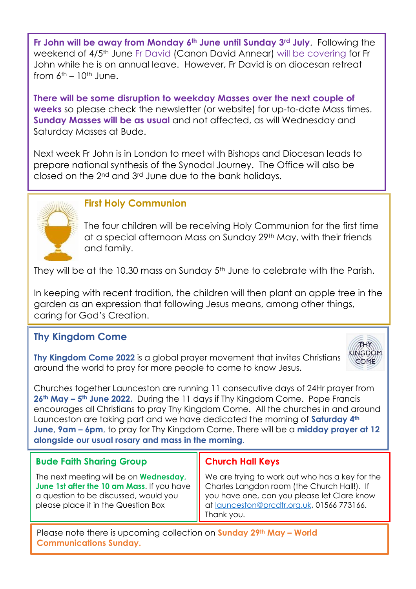**Fr John will be away from Monday 6th June until Sunday 3rd July**. Following the weekend of 4/5<sup>th</sup> June Fr David (Canon David Annear) will be covering for Fr John while he is on annual leave. However, Fr David is on diocesan retreat from  $6<sup>th</sup> - 10<sup>th</sup>$  June.

**There will be some disruption to weekday Masses over the next couple of weeks** so please check the newsletter (or website) for up-to-date Mass times. **Sunday Masses will be as usual** and not affected, as will Wednesday and Saturday Masses at Bude.

Next week Fr John is in London to meet with Bishops and Diocesan leads to prepare national synthesis of the Synodal Journey. The Office will also be closed on the 2nd and 3rd June due to the bank holidays.



### **First Holy Communion**

The four children will be receiving Holy Communion for the first time at a special afternoon Mass on Sunday 29th May, with their friends and family.

They will be at the 10.30 mass on Sunday 5<sup>th</sup> June to celebrate with the Parish.

In keeping with recent tradition, the children will then plant an apple tree in the garden as an expression that following Jesus means, among other things, caring for God's Creation.

## **Thy Kingdom Come**

**Thy Kingdom Come 2022** is a global prayer movement that invites Christians around the world to pray for more people to come to know Jesus.



Churches together Launceston are running 11 consecutive days of 24Hr prayer from **26th May – 5th June 2022.** During the 11 days if Thy Kingdom Come. Pope Francis encourages all Christians to pray Thy Kingdom Come. All the churches in and around Launceston are taking part and we have dedicated the morning of **Saturday 4th June, 9am – 6pm**, to pray for Thy Kingdom Come. There will be a **midday prayer at 12 alongside our usual rosary and mass in the morning**.

### **Bude Faith Sharing Group**

The next meeting will be on **Wednesday, June 1st after the 10 am Mass**. If you have a question to be discussed, would you please place it in the Question Box

### **Church Hall Keys**

We are trying to work out who has a key for the Charles Langdon room (the Church Hall!). If you have one, can you please let Clare know at [launceston@prcdtr.org.uk,](mailto:launceston@prcdtr.org.uk) 01566 773166. Thank you.

Please note there is upcoming collection on **Sunday 29th May – World Communications Sunday.**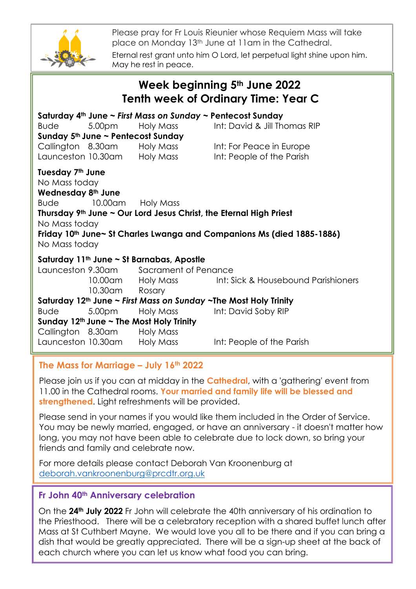

Please pray for Fr Louis Rieunier whose Requiem Mass will take place on Monday 13th June at 11am in the Cathedral. Eternal rest grant unto him O Lord, let perpetual light shine upon him. May he rest in peace.

| Week beginning 5th June 2022<br><b>Tenth week of Ordinary Time: Year C</b>                |                                               |                                                                                                                                                                                   |                                                                                                                                                                                                            |  |  |  |
|-------------------------------------------------------------------------------------------|-----------------------------------------------|-----------------------------------------------------------------------------------------------------------------------------------------------------------------------------------|------------------------------------------------------------------------------------------------------------------------------------------------------------------------------------------------------------|--|--|--|
| Bude                                                                                      | 5.00 <sub>pm</sub>                            | Saturday 4th June ~ First Mass on Sunday ~ Pentecost Sunday<br>Holy Mass<br>Sunday 5th June ~ Pentecost Sunday<br>Callington 8.30am Holy Mass<br>Launceston 10.30am     Holy Mass | Int: David & Jill Thomas RIP<br>Int: For Peace in Europe<br>Int: People of the Parish                                                                                                                      |  |  |  |
| Tuesday 7th June<br>No Mass today<br>Wednesday 8th June<br>No Mass today<br>No Mass today | Bude 10.00am Holy Mass                        |                                                                                                                                                                                   | Thursday $9th$ June $\sim$ Our Lord Jesus Christ, the Eternal High Priest<br>Friday 10th June~ St Charles Lwanga and Companions Ms (died 1885-1886)                                                        |  |  |  |
| Bude                                                                                      | 10.30am Rosary<br>Callington 8.30am Holy Mass | Saturday 11 <sup>th</sup> June ~ St Barnabas, Apostle<br>Launceston 9.30am Sacrament of Penance<br>5.00pm Holy Mass<br>Sunday $12th$ June $\sim$ The Most Holy Trinity            | 10.00am Holy Mass Int: Sick & Housebound Parishioners<br>Saturday 12th June ~ First Mass on Sunday ~The Most Holy Trinity<br>Int: David Soby RIP<br>Launceston 10.30am Holy Mass Int: People of the Parish |  |  |  |

#### **The Mass for Marriage – July 16th 2022**

Please join us if you can at midday in the **Cathedral**, with a 'gathering' event from 11.00 in the Cathedral rooms. **Your married and family life will be blessed and strengthened**. Light refreshments will be provided.

Please send in your names if you would like them included in the Order of Service. You may be newly married, engaged, or have an anniversary - it doesn't matter how long, you may not have been able to celebrate due to lock down, so bring your friends and family and celebrate now.

For more details please contact Deborah Van Kroonenburg at [deborah.vankroonenburg@prcdtr.org.uk](mailto:deborah.vankroonenburg@prcdtr.org.uk)

#### **Fr John 40th Anniversary celebration**

On the **24th July 2022** Fr John will celebrate the 40th anniversary of his ordination to the Priesthood. There will be a celebratory reception with a shared buffet lunch after Mass at St Cuthbert Mayne. We would love you all to be there and if you can bring a dish that would be greatly appreciated. There will be a sign-up sheet at the back of each church where you can let us know what food you can bring.